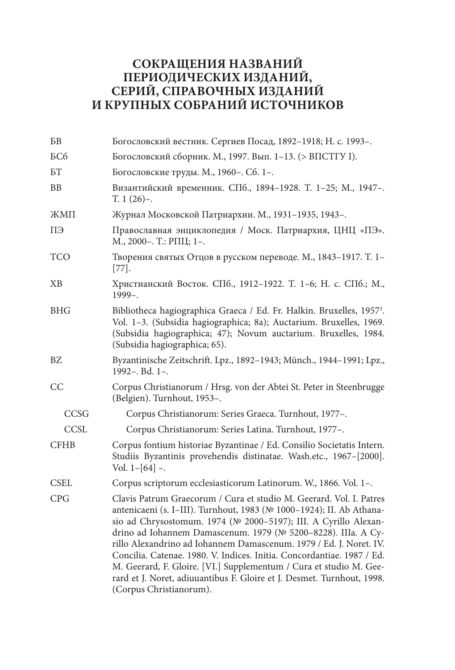## **СОКРАЩЕНИЯ НАЗВАНИЙ ПЕРИОДИЧЕСКИХ ИЗДАНИЙ, СЕРИЙ, СПРАВОЧНЫХ ИЗДАНИЙ И КРУПНЫХ СОБРАНИЙ ИСТОЧНИКОВ**

| БB          | Богословский вестник. Сергиев Посад, 1892–1918; Н. с. 1993–.                                                                                                                                                                                                                                                                                                                                                                                                                                                                                                                                               |  |
|-------------|------------------------------------------------------------------------------------------------------------------------------------------------------------------------------------------------------------------------------------------------------------------------------------------------------------------------------------------------------------------------------------------------------------------------------------------------------------------------------------------------------------------------------------------------------------------------------------------------------------|--|
| <b>БСб</b>  | Богословский сборник. М., 1997. Вып. 1-13. (> ВПСТГУ I).                                                                                                                                                                                                                                                                                                                                                                                                                                                                                                                                                   |  |
| BT          | Богословские труды. М., 1960-. Сб. 1-.                                                                                                                                                                                                                                                                                                                                                                                                                                                                                                                                                                     |  |
| BB          | Византийский временник. СПб., 1894-1928. Т. 1-25; М., 1947-.<br>$T. 1 (26)$ -.                                                                                                                                                                                                                                                                                                                                                                                                                                                                                                                             |  |
| ЖМП         | Журнал Московской Патриархии. М., 1931-1935, 1943-.                                                                                                                                                                                                                                                                                                                                                                                                                                                                                                                                                        |  |
| ПЭ          | Православная энциклопедия / Моск. Патриархия, ЦНЦ «ПЭ».<br>М., 2000-. Т.: РПЦ; 1-.                                                                                                                                                                                                                                                                                                                                                                                                                                                                                                                         |  |
| <b>TCO</b>  | Творения святых Отцов в русском переводе. М., 1843-1917. Т. 1-<br>$[77]$ .                                                                                                                                                                                                                                                                                                                                                                                                                                                                                                                                 |  |
| XB          | Христианский Восток. СПб., 1912-1922. Т. 1-6; Н. с. СПб.; М.,<br>$1999 -$                                                                                                                                                                                                                                                                                                                                                                                                                                                                                                                                  |  |
| <b>BHG</b>  | Bibliotheca hagiographica Graeca / Ed. Fr. Halkin. Bruxelles, 1957 <sup>3</sup> .<br>Vol. 1-3. (Subsidia hagiographica; 8a); Auctarium. Bruxelles, 1969.<br>(Subsidia hagiographica; 47); Novum auctarium. Bruxelles, 1984.<br>(Subsidia hagiographica; 65).                                                                                                                                                                                                                                                                                                                                               |  |
| <b>BZ</b>   | Byzantinische Zeitschrift. Lpz., 1892-1943; Münch., 1944-1991; Lpz.,<br>1992-. Bd. 1-.                                                                                                                                                                                                                                                                                                                                                                                                                                                                                                                     |  |
| CC          | Corpus Christianorum / Hrsg. von der Abtei St. Peter in Steenbrugge<br>(Belgien). Turnhout, 1953-.                                                                                                                                                                                                                                                                                                                                                                                                                                                                                                         |  |
| CCSG        | Corpus Christianorum: Series Graeca. Turnhout, 1977-.                                                                                                                                                                                                                                                                                                                                                                                                                                                                                                                                                      |  |
| <b>CCSL</b> | Corpus Christianorum: Series Latina. Turnhout, 1977-.                                                                                                                                                                                                                                                                                                                                                                                                                                                                                                                                                      |  |
| <b>CFHB</b> | Corpus fontium historiae Byzantinae / Ed. Consilio Societatis Intern.<br>Studiis Byzantinis provehendis distinatae. Wash.etc., 1967-[2000].<br>Vol. $1-[64]$ -.                                                                                                                                                                                                                                                                                                                                                                                                                                            |  |
| <b>CSEL</b> | Corpus scriptorum ecclesiasticorum Latinorum. W., 1866. Vol. 1-.                                                                                                                                                                                                                                                                                                                                                                                                                                                                                                                                           |  |
| CPG         | Clavis Patrum Graecorum / Cura et studio M. Geerard. Vol. I. Patres<br>antenicaeni (s. I–III). Turnhout, 1983 (№ 1000–1924); II. Ab Athana-<br>sio ad Chrysostomum. 1974 (№ 2000-5197); III. A Cyrillo Alexan-<br>drino ad Iohannem Damascenum. 1979 (№ 5200-8228). IIIa. A Cy-<br>rillo Alexandrino ad Iohannem Damascenum. 1979 / Ed. J. Noret. IV.<br>Concilia. Catenae. 1980. V. Indices. Initia. Concordantiae. 1987 / Ed.<br>M. Geerard, F. Gloire. [VI.] Supplementum / Cura et studio M. Gee-<br>rard et J. Noret, adiuuantibus F. Gloire et J. Desmet. Turnhout, 1998.<br>(Corpus Christianorum). |  |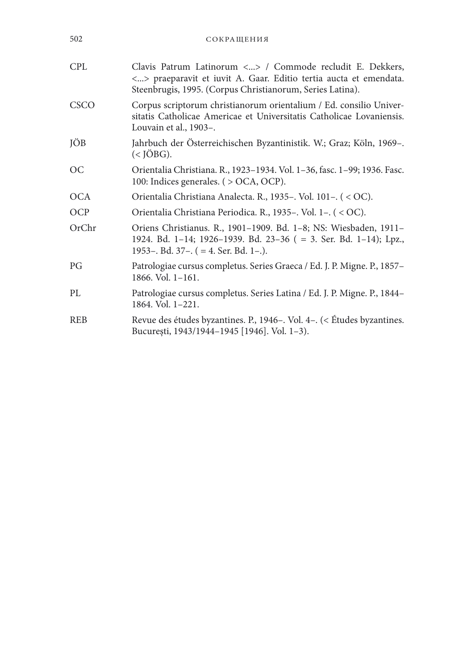| 502         | СОКРАЩЕНИЯ                                                                                                                                                                                  |
|-------------|---------------------------------------------------------------------------------------------------------------------------------------------------------------------------------------------|
| <b>CPL</b>  | Clavis Patrum Latinorum <> / Commode recludit E. Dekkers,<br><> praeparavit et iuvit A. Gaar. Editio tertia aucta et emendata.<br>Steenbrugis, 1995. (Corpus Christianorum, Series Latina). |
| <b>CSCO</b> | Corpus scriptorum christianorum orientalium / Ed. consilio Univer-<br>sitatis Catholicae Americae et Universitatis Catholicae Lovaniensis.<br>Louvain et al., 1903-.                        |
| JÖB         | Jahrbuch der Österreichischen Byzantinistik. W.; Graz; Köln, 1969-.<br>$(<$ JÖBG).                                                                                                          |
| ОC          | Orientalia Christiana. R., 1923–1934. Vol. 1–36, fasc. 1–99; 1936. Fasc.<br>100: Indices generales. ( > OCA, OCP).                                                                          |
| OCA         | Orientalia Christiana Analecta. R., 1935 -. Vol. 101 -. (< OC).                                                                                                                             |
| <b>OCP</b>  | Orientalia Christiana Periodica. R., 1935–. Vol. 1–. (< OC).                                                                                                                                |
| OrChr       | Oriens Christianus. R., 1901–1909. Bd. 1–8; NS: Wiesbaden, 1911–<br>1924. Bd. 1-14; 1926-1939. Bd. 23-36 (= 3. Ser. Bd. 1-14); Lpz.,<br>1953–. Bd. 37–. $( = 4.$ Ser. Bd. 1–.).             |
| PG          | Patrologiae cursus completus. Series Graeca / Ed. J. P. Migne. P., 1857-<br>$1866.$ Vol. $1-161.$                                                                                           |
| PL          | Patrologiae cursus completus. Series Latina / Ed. J. P. Migne. P., 1844–<br>1864. Vol. 1-221.                                                                                               |
| <b>REB</b>  | Revue des études byzantines. P., 1946–. Vol. 4–. (< Études byzantines.<br>București, 1943/1944-1945 [1946]. Vol. 1-3).                                                                      |
|             |                                                                                                                                                                                             |